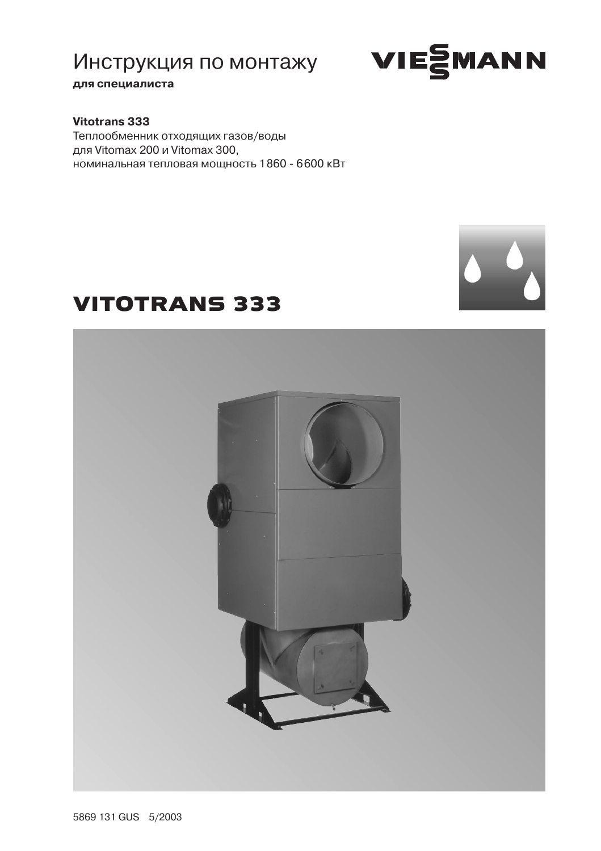### для специалиста

### Vitotrans 333

Теплообменник отходящих газов/воды для Vitomax 200 и Vitomax 300, номинальная тепловая мощность 1860 - 6600 кВт

# **VITOTRANS 333**



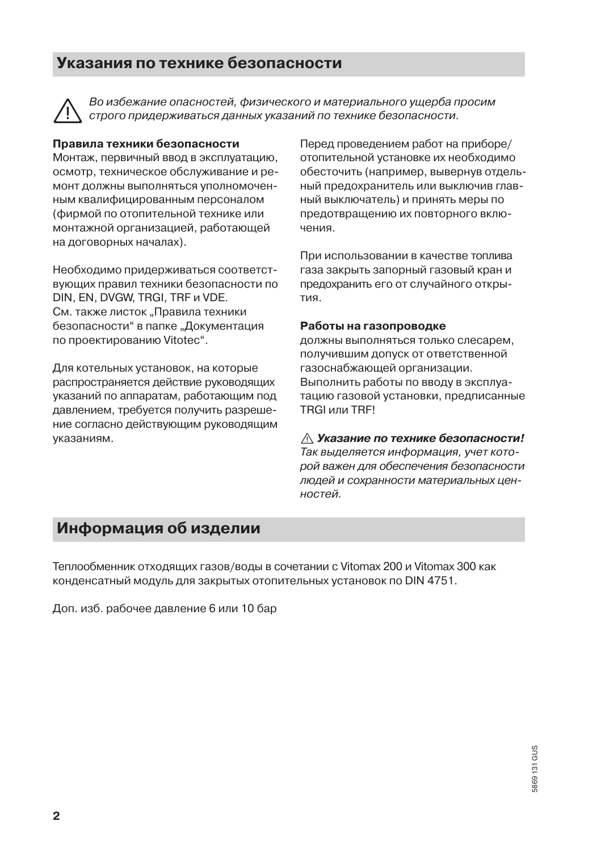### Указания по технике безопасности



Во избежание опасностей, физического и материального ушерба просим строго придерживаться данных указаний по технике безопасности.

#### Правила техники безопасности

Монтаж, первичный ввод в эксплуатацию, осмотр, техническое обслуживание и ремонт должны выполняться уполномоченным квалифицированным персоналом (фирмой по отопительной технике или монтажной организацией, работающей на договорных началах).

Необходимо придерживаться соответствующих правил техники безопасности по DIN, EN, DVGW, TRGI, TRF и VDE. См. также листок "Правила техники безопасности" в папке "Документация по проектированию Vitotec".

Для котельных установок, на которые распространяется действие руководящих указаний по аппаратам, работающим под давлением, требуется получить разрешение согласно действующим руководящим указаниям.

Перед проведением работ на приборе/ отопительной установке их необходимо обесточить (например, вывернув отдельный предохранитель или выключив главный выключатель) и принять меры по предотвращению их повторного вклюнениа

При использовании в качестве топлива газа закрыть запорный газовый кран и предохранить его от случайного открытия.

#### Работы на газопроводке

должны выполняться только слесарем, получившим допуск от ответственной газоснабжающей организации. Выполнить работы по вводу в эксплуатацию газовой установки, предписанные **TRGI или TRFI** 

#### ∧ Указание по технике безопасности!

Так выделяется информация, учет которой важен для обеспечения безопасности людей и сохранности материальных ценностей.

### Информация об изделии

Теплообменник отходящих газов/воды в сочетании с Vitomax 200 и Vitomax 300 как конденсатный модуль для закрытых отопительных установок по DIN 4751.

Доп. изб. рабочее давление 6 или 10 бар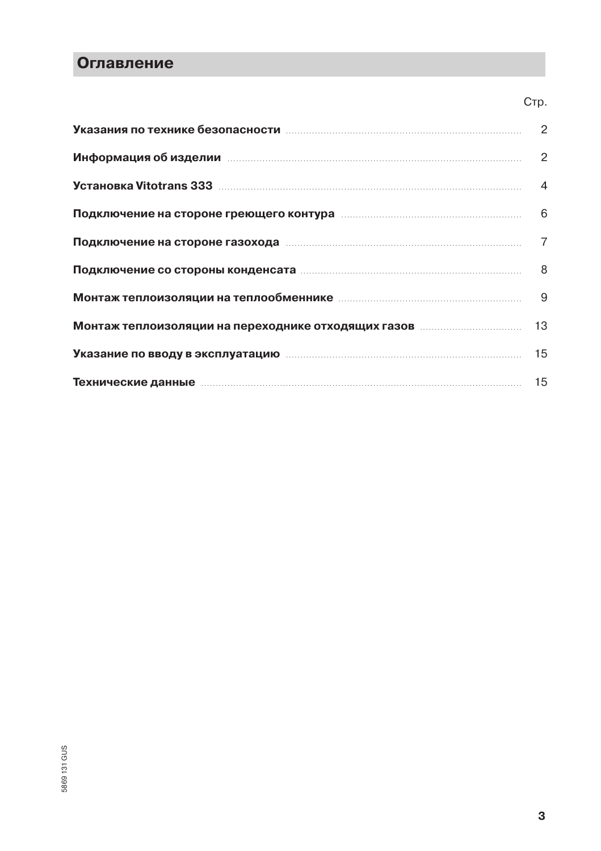### Оглавление

|                                                                                                                      | Стр.           |
|----------------------------------------------------------------------------------------------------------------------|----------------|
|                                                                                                                      | 2              |
| Информация об изделии приписания и против по не при приняти и против по не при при при при при при                   | $\overline{2}$ |
| <b>Установка Vitotrans 333 после после по полнети против с после по полнети по полнети по полнети по по</b>          | $\overline{4}$ |
| Подключение на стороне греющего контура попродним подключение на стороне греющего контура поподавшим подключением    |                |
| Подключение на стороне газохода политической политической подключение на стороне газохода политической политической  | 7              |
|                                                                                                                      |                |
|                                                                                                                      |                |
|                                                                                                                      |                |
| <b>Указание по вводу в эксплуатацию</b> пополнительностроенности и так и так и так и так                             |                |
| <b>Технические данные</b> поставка по поставка на стала по поставка на стала по поставка на стала по поставка на ста | 15             |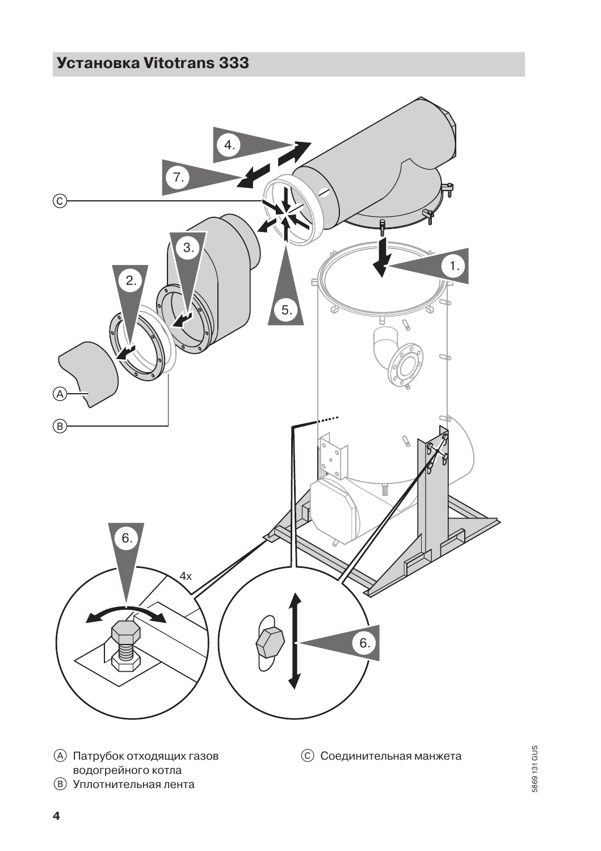# **Установка Vitotrans 333**



**(A) Патрубок отходящих газов** водогрейного котла **(В)** Уплотнительная лента

**© Соединительная манжета**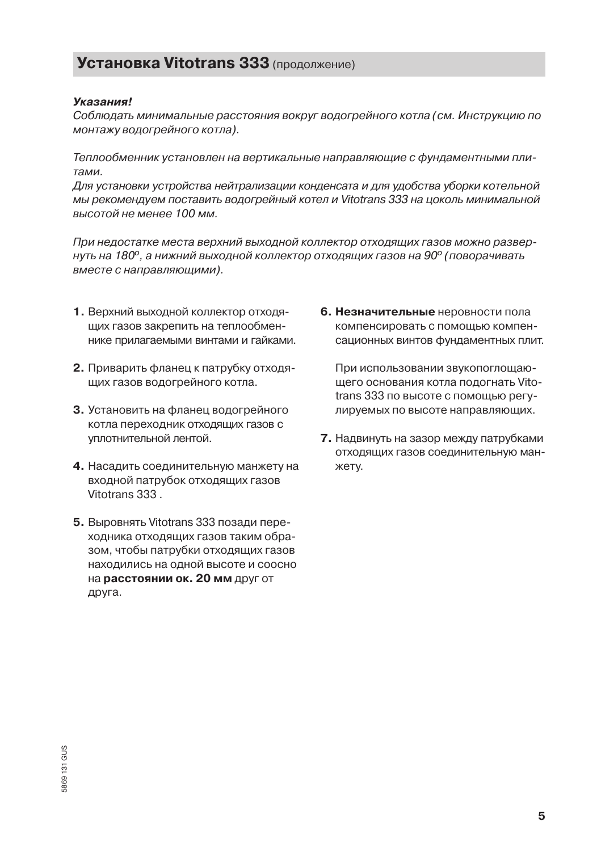### **Установка Vitotrans 333 (продолжение)**

#### **V**<sub>E</sub>a<sub>3</sub>a<sub>HMa</sub>

Соблюдать минимальные расстояния вокруг водогрейного котла (см. Инструкцию по монтажу водогрейного котла).

Теплообменник установлен на вертикальные направляющие с фундаментными плитами.

Для установки устройства нейтрализации конденсата и для удобства уборки котельной мы рекомендуем поставить водогрейный котел и Vitotrans 333 на цоколь минимальной высотой не менее 100 мм.

При недостатке места верхний выходной коллектор отходящих газов можно развернуть на 180°, а нижний выходной коллектор отходящих газов на 90° (поворачивать вместе с направляющими).

- 1. Верхний выходной коллектор отходяших газов закрепить на теплообменнике прилагаемыми винтами и гайками.
- 2. Приварить фланец к патрубку отходящих газов водогрейного котла.
- 3. Установить на фланец водогрейного котла переходник отходящих газов с уплотнительной лентой.
- 4. Насадить соединительную манжету на входной патрубок отходящих газов Vitotrans 333
- 5. Выровнять Vitotrans 333 позади переходника отходящих газов таким образом, чтобы патрубки отходящих газов находились на одной высоте и соосно на расстоянии ок. 20 мм друг от друга.

6. Незначительные неровности пола компенсировать с помощью компенсационных винтов фундаментных плит.

При использовании звукопоглощающего основания котла подогнать Vitotrans 333 по высоте с помощью регулируемых по высоте направляющих.

7. Надвинуть на зазор между патрубками отходящих газов соединительную манжету.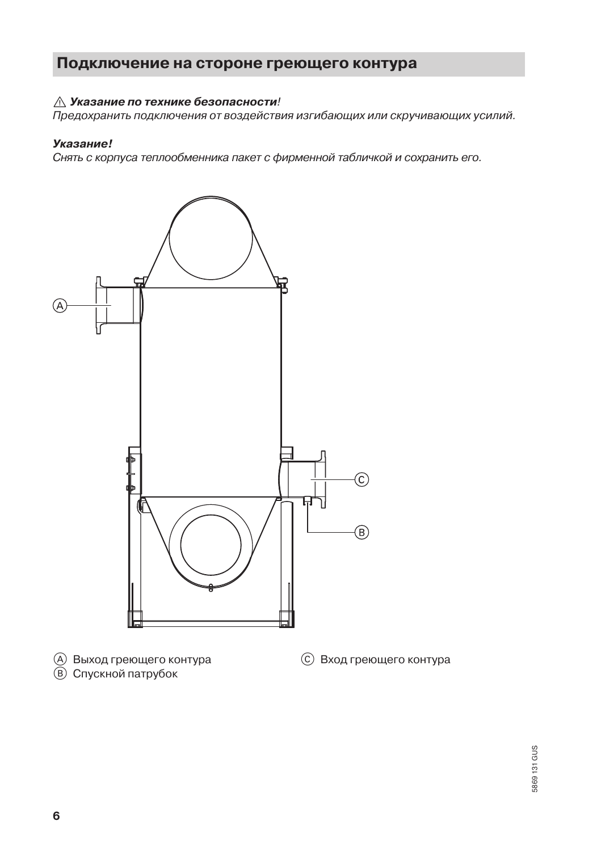### Подключение на стороне греющего контура

### ∧ Указание по технике безопасности!

Предохранить подключения от воздействия изгибающих или скручивающих усилий.

#### Указание!

Снять с корпуса теплообменника пакет с фирменной табличкой и сохранить его.



**В)** Спускной патрубок

5869131 GUS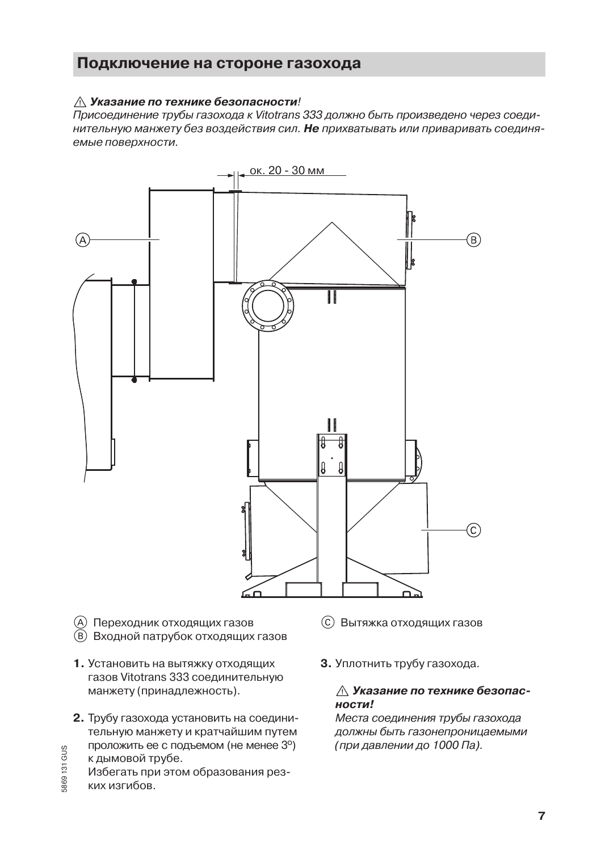### Подключение на стороне газохода

### ∧ Указание по технике безопасности!

Присоединение трубы газохода к Vitotrans 333 должно быть произведено через соединительную манжету без воздействия сил. Не прихватывать или приваривать соединяемые поверхности.



- (A) Переходник отходящих газов
- (В) Входной патрубок отходящих газов
- 1. Установить на вытяжку отходящих газов Vitotrans 333 соединительную манжету (принадлежность).
- 2. Трубу газохода установить на соединительную манжету и кратчайшим путем проложить ее с подъемом (не менее 3°)
- к дымовой трубе.

869131 GUS

Избегать при этом образования резких изгибов.

- © Вытяжка отходящих газов
- 3. Уплотнить трубу газохода.

### ∧ Указание по технике безопасности!

Места соединения трубы газохода должны быть газонепроницаемыми (при давлении до 1000 Па).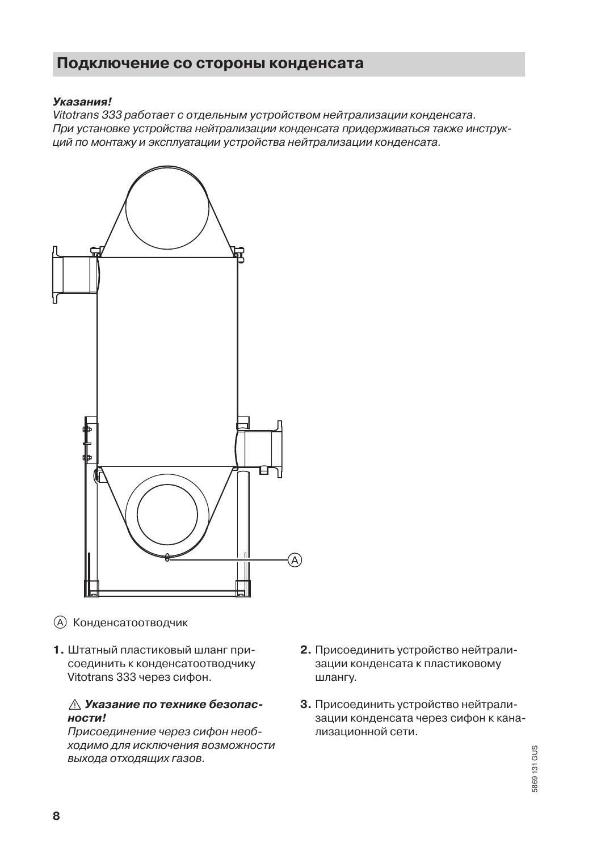### Подключение со стороны конденсата

#### **V**KA33HMal

Vitotrans 333 работает с отдельным устройством нейтрализации конденсата. При установке устройства нейтрализации конденсата придерживаться также инструкций по монтажу и эксплуатации устройства нейтрализации конденсата.



- **(A)** Конденсатоотводчик
- 1. Штатный пластиковый шланг присоединить к конденсатоотводчику Vitotrans 333 через сифон.

#### ∧ Указание по технике безопасности!

Присоединение через сифон необходимо для исключения возможности выхода отходящих газов.

- 2. Присоединить устройство нейтрализации конденсата к пластиковому шлангу.
- 3. Присоединить устройство нейтрализации конденсата через сифон к канализационной сети.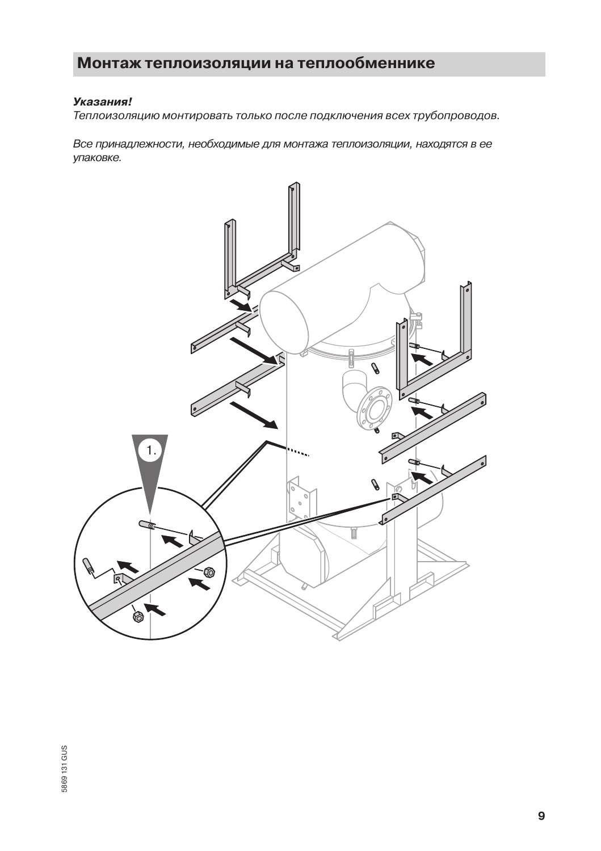## Монтаж теплоизоляции на теплообменнике

#### Указания!

Теплоизоляцию монтировать только после подключения всех трубопроводов.

Все принадлежности, необходимые для монтажа теплоизоляции, находятся в ее упаковке.

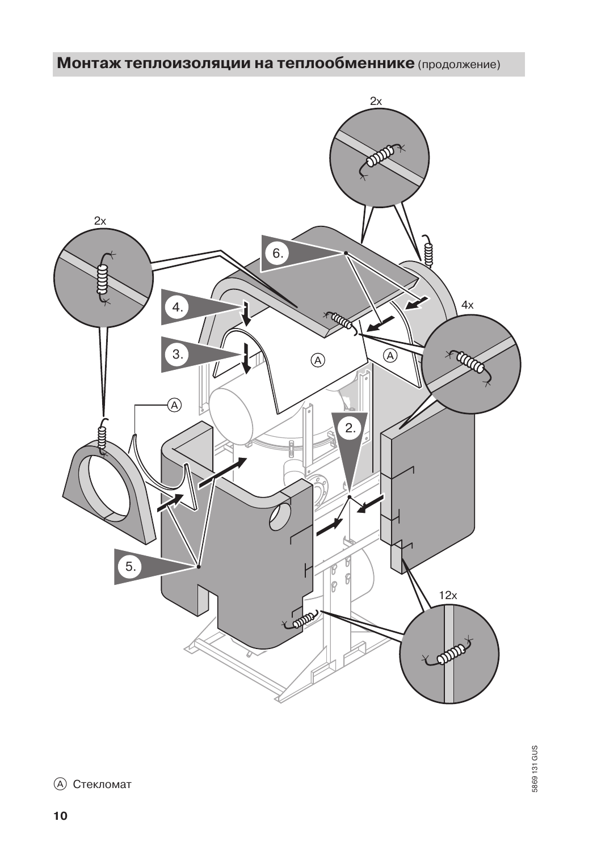# Монтаж теплоизоляции на теплообменнике (продолжение)



**(A)** Стекломат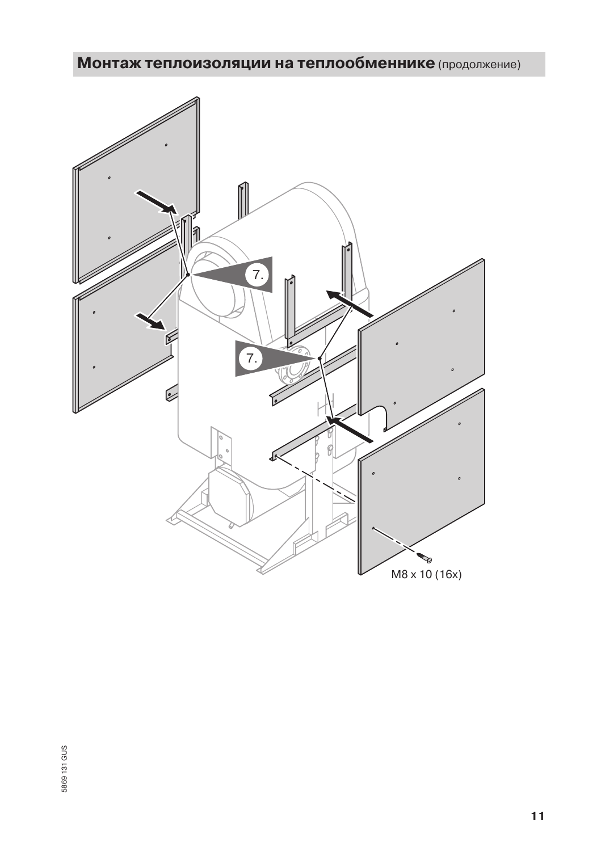# Монтаж теплоизоляции на теплообменнике (продолжение)

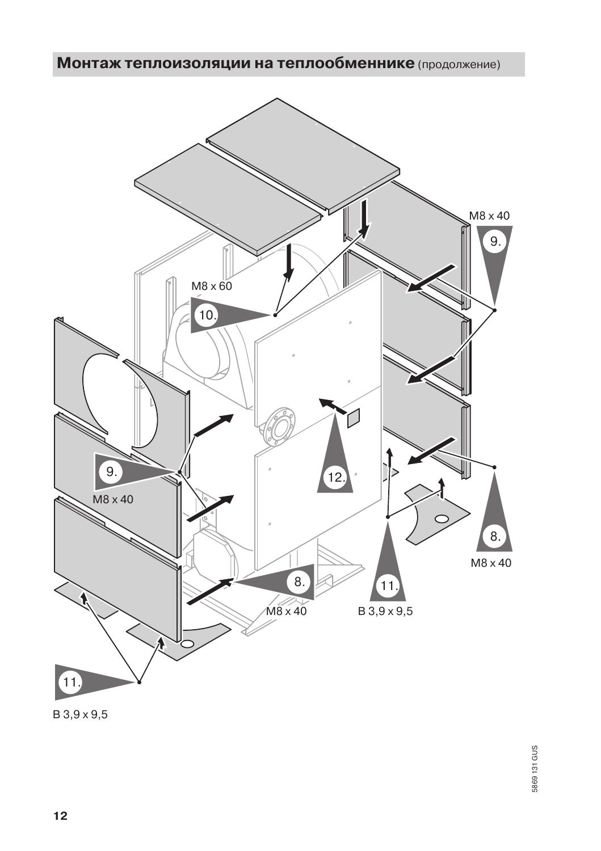Монтаж теплоизоляции на теплообменнике (продолжение)



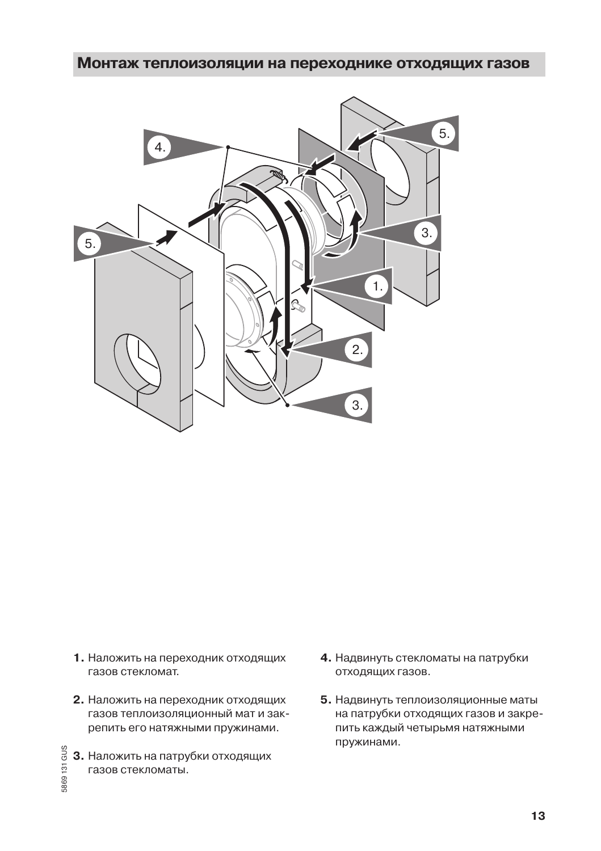### Монтаж теплоизоляции на переходнике отходящих газов



- 1. Наложить на переходник отходящих газов стекломат.
- 2. Наложить на переходник отходящих газов теплоизоляционный мат и закрепить его натяжными пружинами.
- 5869131 GUS 3. Наложить на патрубки отходящих газов стекломаты.
- 4. Надвинуть стекломаты на патрубки отходящих газов.
- 5. Надвинуть теплоизоляционные маты на патрубки отходящих газов и закрепить каждый четырьмя натяжными пружинами.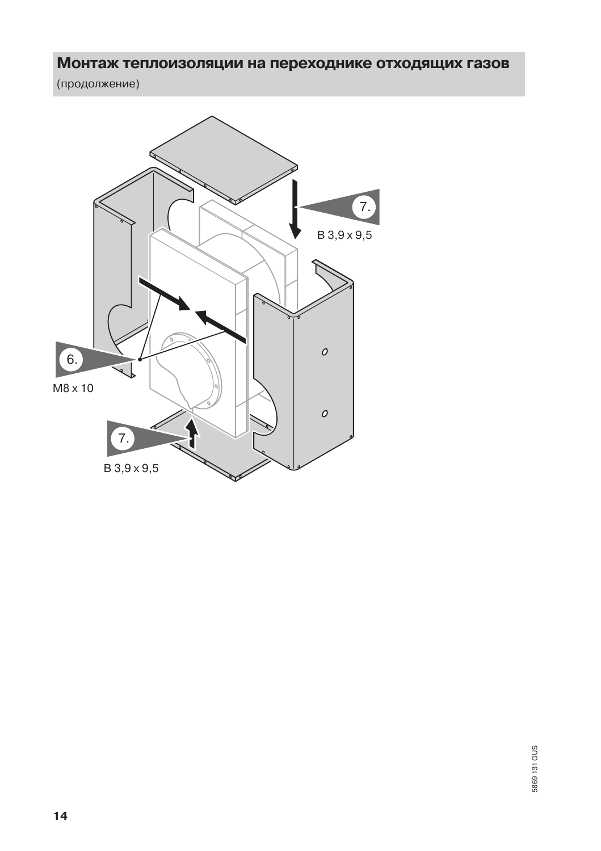### Монтаж теплоизоляции на переходнике отходящих газов

(продолжение)

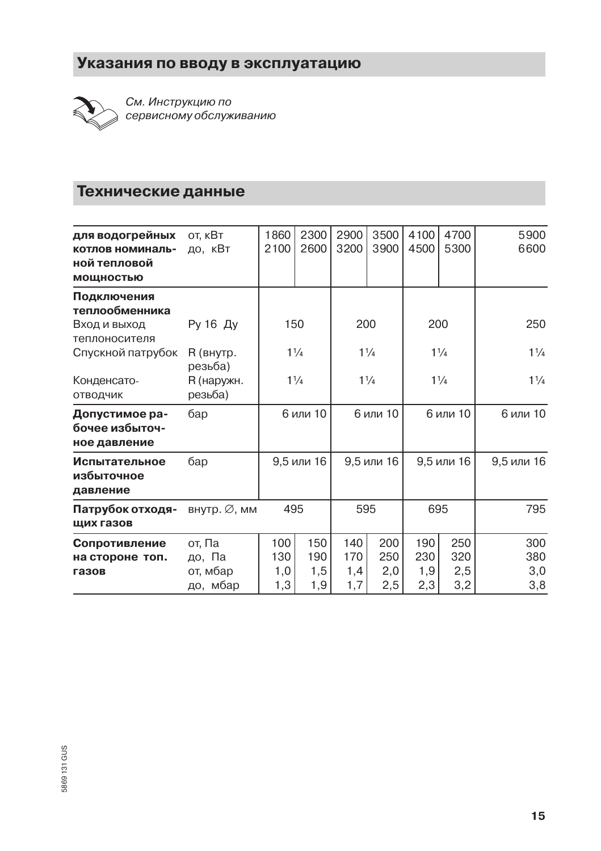# Указания по вводу в эксплуатацию



См. Инструкцию по сервисному обслуживанию

### Технические данные

| для водогрейных<br>котлов номиналь-<br>ной тепловой<br><b>МОЩНОСТЬЮ</b> | от, кВт<br>до, кВт                       | 1860<br>2100             | 2300<br>2600             | 2900<br>3200             | 3500<br>3900             | 4100<br>4500             | 4700<br>5300             | 5900<br>6600             |
|-------------------------------------------------------------------------|------------------------------------------|--------------------------|--------------------------|--------------------------|--------------------------|--------------------------|--------------------------|--------------------------|
| Подключения<br>теплообменника                                           |                                          |                          |                          |                          |                          |                          |                          |                          |
| Вход и выход<br>теплоносителя                                           | Ру 16 Ду                                 | 150                      |                          | 200                      |                          | 200                      |                          | 250                      |
| Спускной патрубок                                                       | R (внутр.<br>резьба)                     | $1\frac{1}{4}$           |                          | $1\frac{1}{4}$           |                          | $1\frac{1}{4}$           |                          | $1\frac{1}{4}$           |
| Конденсато-<br>ОТВОДЧИК                                                 | R (наружн.<br>резьба)                    | $1\frac{1}{4}$           |                          | $1\frac{1}{4}$           |                          | $1\frac{1}{4}$           |                          | $1\frac{1}{4}$           |
| Допустимое ра-<br>бочее избыточ-<br>ное давление                        | бар                                      | 6 или 10                 |                          | 6 или 10                 |                          | 6 или 10                 |                          | 6 или 10                 |
| Испытательное<br>избыточное<br>давление                                 | бар                                      | 9,5 или 16               |                          | 9,5 или 16               |                          | 9,5 или 16               |                          | 9,5 или 16               |
| Патрубок отходя-<br>щих газов                                           | внутр. ∅, мм                             | 495                      |                          | 595                      |                          | 695                      |                          | 795                      |
| Сопротивление<br>на стороне топ.<br>газов                               | от, Па<br>до, Па<br>от, мбар<br>до, мбар | 100<br>130<br>1,0<br>1,3 | 150<br>190<br>1,5<br>1,9 | 140<br>170<br>1,4<br>1,7 | 200<br>250<br>2,0<br>2,5 | 190<br>230<br>1,9<br>2,3 | 250<br>320<br>2,5<br>3,2 | 300<br>380<br>3,0<br>3,8 |